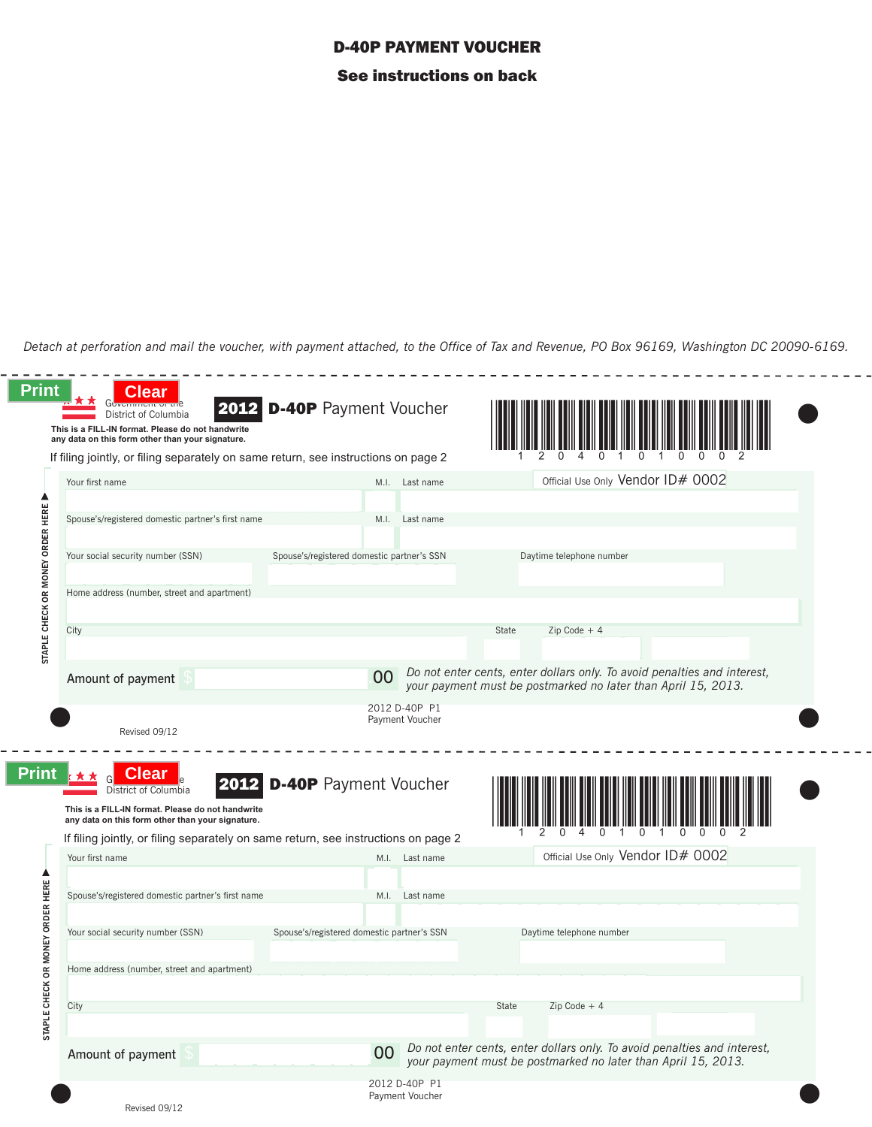## D-40P PAYMENT VOUCHER See instructions on back

*Detach at perforation and mail the voucher, with payment attached, to the Office of Tax and Revenue, PO Box 96169, Washington DC 20090-6169.*

 $\frac{1}{2}$ 

 $\frac{1}{2} \frac{1}{2} \frac{1}{2} \frac{1}{2} \frac{1}{2} \frac{1}{2} \frac{1}{2}$ 

|                                  | If filing jointly, or filing separately on same return, see instructions on page 2                                                     |                                            |      |                                  |       |                                                                                                                                           |  |
|----------------------------------|----------------------------------------------------------------------------------------------------------------------------------------|--------------------------------------------|------|----------------------------------|-------|-------------------------------------------------------------------------------------------------------------------------------------------|--|
|                                  |                                                                                                                                        |                                            |      |                                  |       |                                                                                                                                           |  |
|                                  | Your first name                                                                                                                        |                                            |      | M.I. Last name                   |       | Official Use Only Vendor ID# 0002                                                                                                         |  |
|                                  | Spouse's/registered domestic partner's first name                                                                                      |                                            | M.I. | Last name                        |       |                                                                                                                                           |  |
|                                  | Your social security number (SSN)                                                                                                      | Spouse's/registered domestic partner's SSN |      |                                  |       | Daytime telephone number                                                                                                                  |  |
|                                  | Home address (number, street and apartment)                                                                                            |                                            |      |                                  |       |                                                                                                                                           |  |
| STAPLE CHECK OR MONEY ORDER HERE | City                                                                                                                                   |                                            |      |                                  | State | $Zip Code + 4$                                                                                                                            |  |
|                                  | Amount of payment                                                                                                                      |                                            | 00   |                                  |       | Do not enter cents, enter dollars only. To avoid penalties and interest,<br>your payment must be postmarked no later than April 15, 2013. |  |
|                                  | Revised 09/12                                                                                                                          |                                            |      | 2012 D-40P P1<br>Payment Voucher |       |                                                                                                                                           |  |
| Print                            | Clear<br>District of Columbia<br>This is a FILL-IN format. Please do not handwrite                                                     | <b>D-40P</b> Payment Voucher               |      |                                  |       |                                                                                                                                           |  |
|                                  | any data on this form other than your signature.<br>If filing jointly, or filing separately on same return, see instructions on page 2 |                                            |      |                                  |       |                                                                                                                                           |  |
|                                  | Your first name                                                                                                                        |                                            |      | M.I. Last name                   |       | Official Use Only Vendor ID# 0002                                                                                                         |  |
|                                  |                                                                                                                                        |                                            |      |                                  |       |                                                                                                                                           |  |
|                                  | Spouse's/registered domestic partner's first name                                                                                      |                                            | M.I. | Last name                        |       |                                                                                                                                           |  |
| CK OR MONEY ORDER HERE           | Your social security number (SSN)                                                                                                      | Spouse's/registered domestic partner's SSN |      |                                  |       | Daytime telephone number                                                                                                                  |  |
|                                  | Home address (number, street and apartment)                                                                                            |                                            |      |                                  |       |                                                                                                                                           |  |
|                                  |                                                                                                                                        |                                            |      |                                  |       |                                                                                                                                           |  |
| STAPLE CHE                       | City                                                                                                                                   |                                            |      |                                  | State | $Zip Code + 4$                                                                                                                            |  |